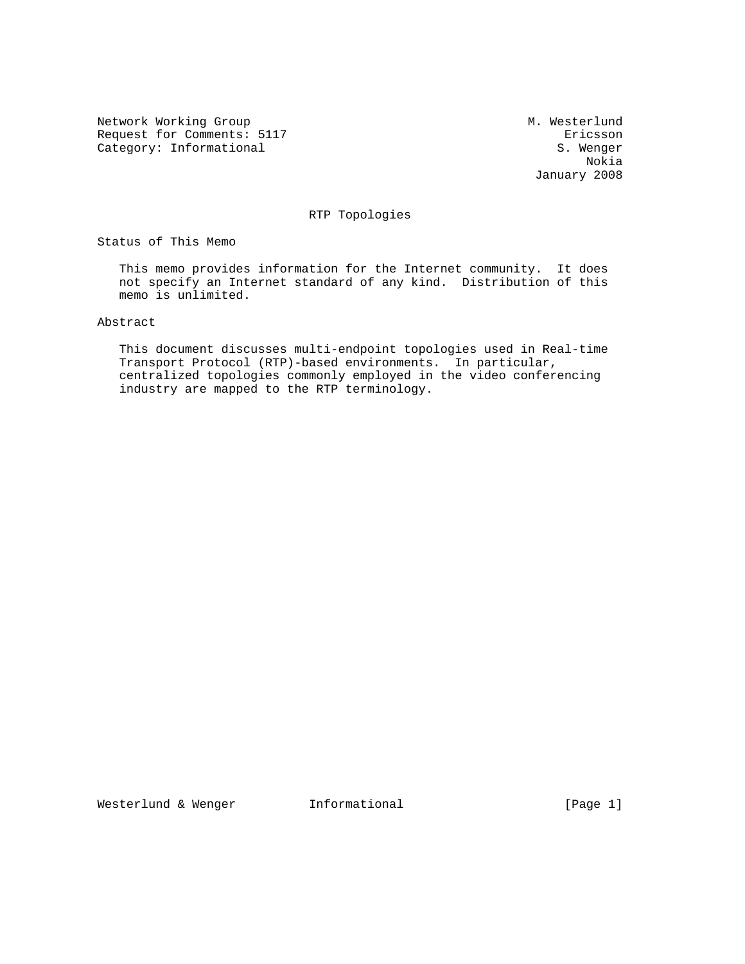Network Working Group Methods and M. Westerlund Request for Comments: 5117<br>
Category: Informational and S. Wenger

Category: Informational S. Wenger<br>Nokia Nokia January 2008

RTP Topologies

Status of This Memo

 This memo provides information for the Internet community. It does not specify an Internet standard of any kind. Distribution of this memo is unlimited.

Abstract

 This document discusses multi-endpoint topologies used in Real-time Transport Protocol (RTP)-based environments. In particular, centralized topologies commonly employed in the video conferencing industry are mapped to the RTP terminology.

Westerlund & Wenger 11formational 1999 [Page 1]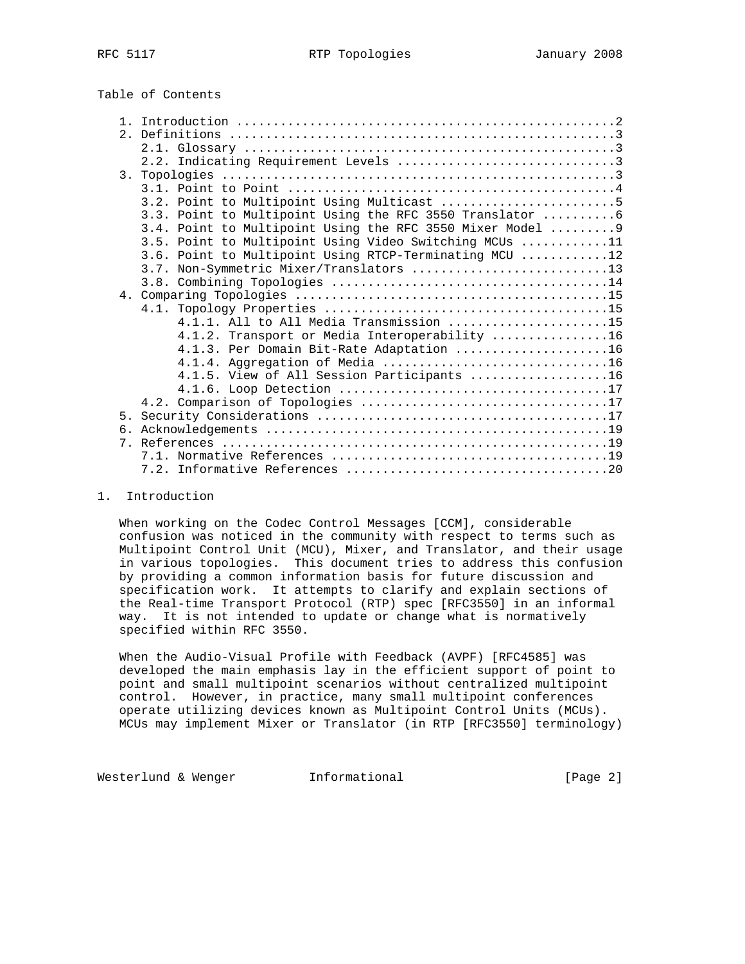|  |  | Table of Contents |
|--|--|-------------------|
|--|--|-------------------|

|    | 3.2. Point to Multipoint Using Multicast 5                 |
|----|------------------------------------------------------------|
|    | 3.3. Point to Multipoint Using the RFC 3550 Translator 6   |
|    | 3.4. Point to Multipoint Using the RFC 3550 Mixer Model  9 |
|    | 3.5. Point to Multipoint Using Video Switching MCUs 11     |
|    | 3.6. Point to Multipoint Using RTCP-Terminating MCU 12     |
|    | 3.7. Non-Symmetric Mixer/Translators 13                    |
|    |                                                            |
|    |                                                            |
|    |                                                            |
|    | 4.1.1. All to All Media Transmission 15                    |
|    | 4.1.2. Transport or Media Interoperability 16              |
|    | 4.1.3. Per Domain Bit-Rate Adaptation 16                   |
|    |                                                            |
|    | 4.1.5. View of All Session Participants 16                 |
|    |                                                            |
|    |                                                            |
| 5. |                                                            |
|    |                                                            |
|    |                                                            |
|    |                                                            |
|    |                                                            |

#### 1. Introduction

 When working on the Codec Control Messages [CCM], considerable confusion was noticed in the community with respect to terms such as Multipoint Control Unit (MCU), Mixer, and Translator, and their usage in various topologies. This document tries to address this confusion by providing a common information basis for future discussion and specification work. It attempts to clarify and explain sections of the Real-time Transport Protocol (RTP) spec [RFC3550] in an informal way. It is not intended to update or change what is normatively specified within RFC 3550.

 When the Audio-Visual Profile with Feedback (AVPF) [RFC4585] was developed the main emphasis lay in the efficient support of point to point and small multipoint scenarios without centralized multipoint control. However, in practice, many small multipoint conferences operate utilizing devices known as Multipoint Control Units (MCUs). MCUs may implement Mixer or Translator (in RTP [RFC3550] terminology)

Westerlund & Wenger **Informational Informational** [Page 2]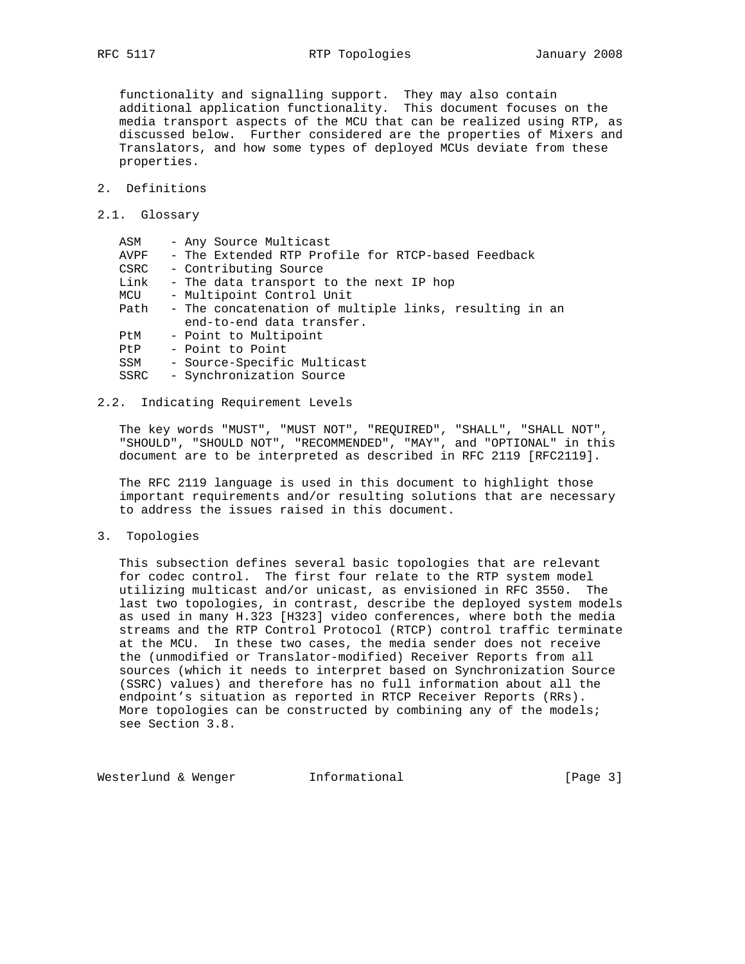functionality and signalling support. They may also contain additional application functionality. This document focuses on the media transport aspects of the MCU that can be realized using RTP, as discussed below. Further considered are the properties of Mixers and Translators, and how some types of deployed MCUs deviate from these properties.

- 2. Definitions
- 2.1. Glossary

| ASM  | - Any Source Multicast                                 |
|------|--------------------------------------------------------|
| AVPF | - The Extended RTP Profile for RTCP-based Feedback     |
| CSRC | - Contributing Source                                  |
| Link | - The data transport to the next IP hop                |
| MCU  | - Multipoint Control Unit                              |
| Path | - The concatenation of multiple links, resulting in an |
|      | end-to-end data transfer.                              |
| PtM  | - Point to Multipoint                                  |
| PtP  | - Point to Point                                       |
| SSM  | - Source-Specific Multicast                            |
| SSRC | - Synchronization Source                               |
|      |                                                        |

# 2.2. Indicating Requirement Levels

 The key words "MUST", "MUST NOT", "REQUIRED", "SHALL", "SHALL NOT", "SHOULD", "SHOULD NOT", "RECOMMENDED", "MAY", and "OPTIONAL" in this document are to be interpreted as described in RFC 2119 [RFC2119].

 The RFC 2119 language is used in this document to highlight those important requirements and/or resulting solutions that are necessary to address the issues raised in this document.

3. Topologies

 This subsection defines several basic topologies that are relevant for codec control. The first four relate to the RTP system model utilizing multicast and/or unicast, as envisioned in RFC 3550. The last two topologies, in contrast, describe the deployed system models as used in many H.323 [H323] video conferences, where both the media streams and the RTP Control Protocol (RTCP) control traffic terminate at the MCU. In these two cases, the media sender does not receive the (unmodified or Translator-modified) Receiver Reports from all sources (which it needs to interpret based on Synchronization Source (SSRC) values) and therefore has no full information about all the endpoint's situation as reported in RTCP Receiver Reports (RRs). More topologies can be constructed by combining any of the models; see Section 3.8.

Westerlund & Wenger 1nformational 1999 [Page 3]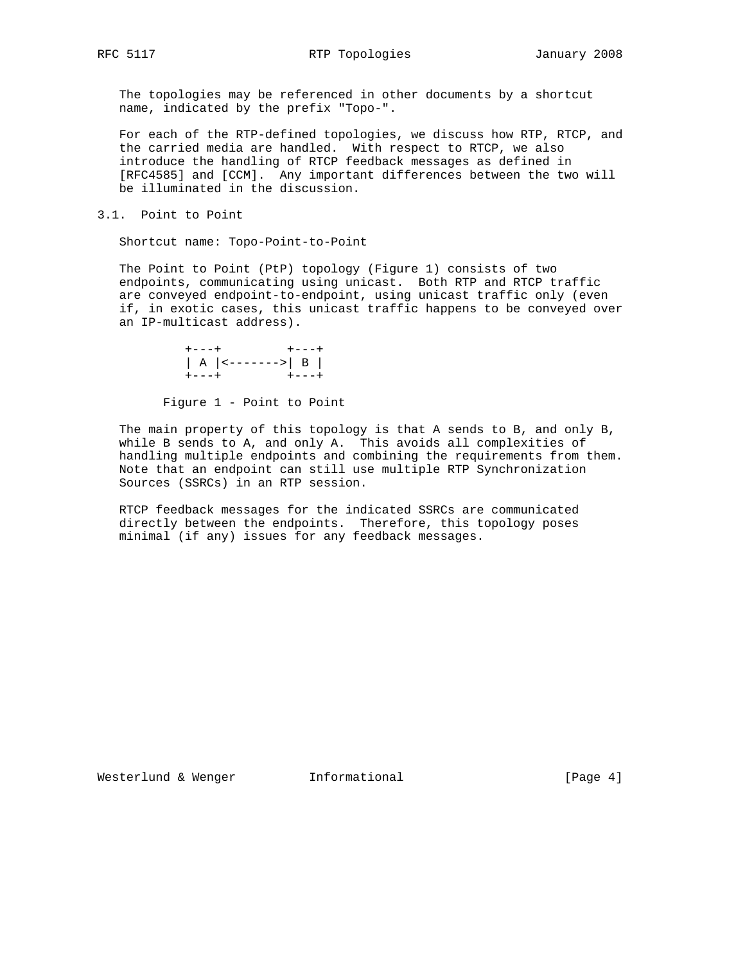The topologies may be referenced in other documents by a shortcut name, indicated by the prefix "Topo-".

 For each of the RTP-defined topologies, we discuss how RTP, RTCP, and the carried media are handled. With respect to RTCP, we also introduce the handling of RTCP feedback messages as defined in [RFC4585] and [CCM]. Any important differences between the two will be illuminated in the discussion.

3.1. Point to Point

Shortcut name: Topo-Point-to-Point

 The Point to Point (PtP) topology (Figure 1) consists of two endpoints, communicating using unicast. Both RTP and RTCP traffic are conveyed endpoint-to-endpoint, using unicast traffic only (even if, in exotic cases, this unicast traffic happens to be conveyed over an IP-multicast address).



Figure 1 - Point to Point

 The main property of this topology is that A sends to B, and only B, while B sends to A, and only A. This avoids all complexities of handling multiple endpoints and combining the requirements from them. Note that an endpoint can still use multiple RTP Synchronization Sources (SSRCs) in an RTP session.

 RTCP feedback messages for the indicated SSRCs are communicated directly between the endpoints. Therefore, this topology poses minimal (if any) issues for any feedback messages.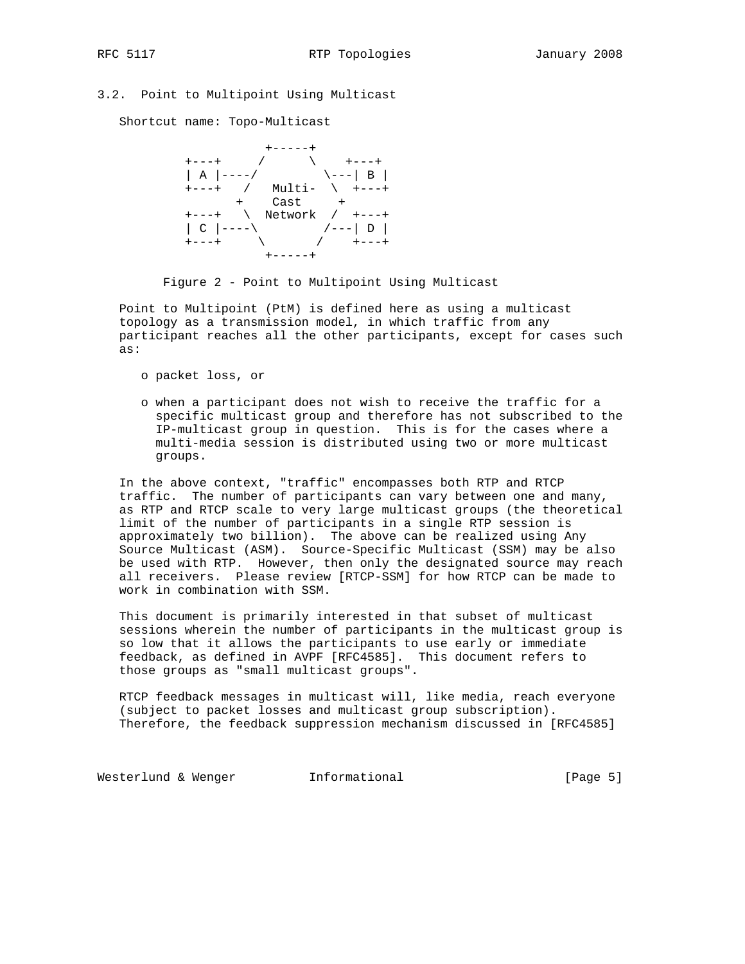# 3.2. Point to Multipoint Using Multicast

Shortcut name: Topo-Multicast



Figure 2 - Point to Multipoint Using Multicast

 Point to Multipoint (PtM) is defined here as using a multicast topology as a transmission model, in which traffic from any participant reaches all the other participants, except for cases such as:

- o packet loss, or
- o when a participant does not wish to receive the traffic for a specific multicast group and therefore has not subscribed to the IP-multicast group in question. This is for the cases where a multi-media session is distributed using two or more multicast groups.

 In the above context, "traffic" encompasses both RTP and RTCP traffic. The number of participants can vary between one and many, as RTP and RTCP scale to very large multicast groups (the theoretical limit of the number of participants in a single RTP session is approximately two billion). The above can be realized using Any Source Multicast (ASM). Source-Specific Multicast (SSM) may be also be used with RTP. However, then only the designated source may reach all receivers. Please review [RTCP-SSM] for how RTCP can be made to work in combination with SSM.

 This document is primarily interested in that subset of multicast sessions wherein the number of participants in the multicast group is so low that it allows the participants to use early or immediate feedback, as defined in AVPF [RFC4585]. This document refers to those groups as "small multicast groups".

 RTCP feedback messages in multicast will, like media, reach everyone (subject to packet losses and multicast group subscription). Therefore, the feedback suppression mechanism discussed in [RFC4585]

Westerlund & Wenger **Informational Informational** [Page 5]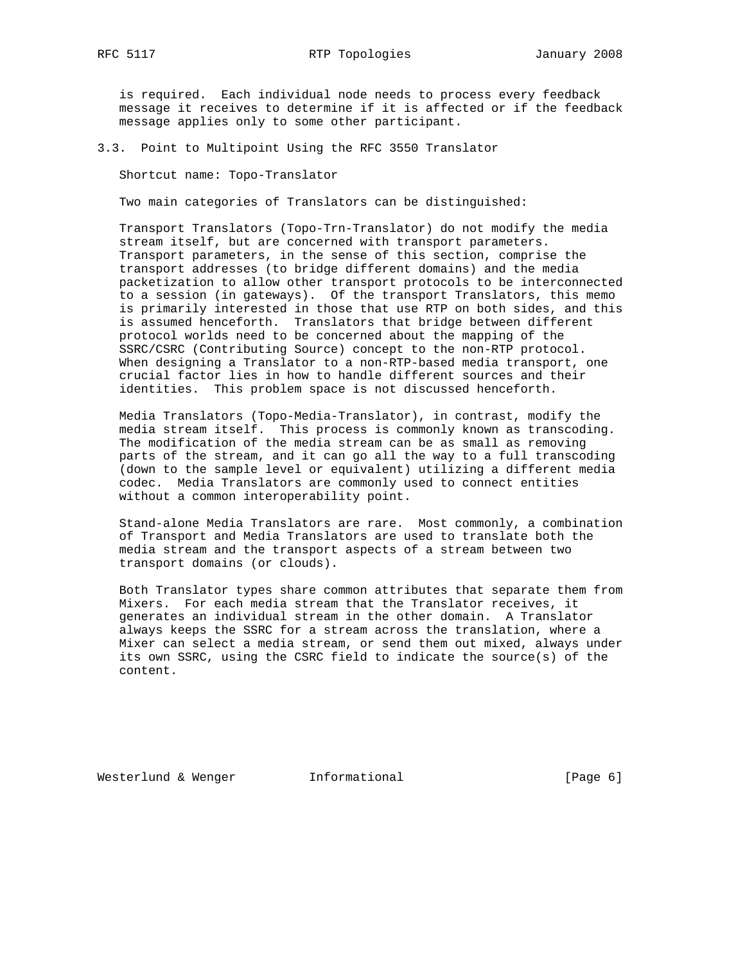is required. Each individual node needs to process every feedback message it receives to determine if it is affected or if the feedback message applies only to some other participant.

3.3. Point to Multipoint Using the RFC 3550 Translator

Shortcut name: Topo-Translator

Two main categories of Translators can be distinguished:

 Transport Translators (Topo-Trn-Translator) do not modify the media stream itself, but are concerned with transport parameters. Transport parameters, in the sense of this section, comprise the transport addresses (to bridge different domains) and the media packetization to allow other transport protocols to be interconnected to a session (in gateways). Of the transport Translators, this memo is primarily interested in those that use RTP on both sides, and this is assumed henceforth. Translators that bridge between different protocol worlds need to be concerned about the mapping of the SSRC/CSRC (Contributing Source) concept to the non-RTP protocol. When designing a Translator to a non-RTP-based media transport, one crucial factor lies in how to handle different sources and their identities. This problem space is not discussed henceforth.

 Media Translators (Topo-Media-Translator), in contrast, modify the media stream itself. This process is commonly known as transcoding. The modification of the media stream can be as small as removing parts of the stream, and it can go all the way to a full transcoding (down to the sample level or equivalent) utilizing a different media codec. Media Translators are commonly used to connect entities without a common interoperability point.

 Stand-alone Media Translators are rare. Most commonly, a combination of Transport and Media Translators are used to translate both the media stream and the transport aspects of a stream between two transport domains (or clouds).

 Both Translator types share common attributes that separate them from Mixers. For each media stream that the Translator receives, it generates an individual stream in the other domain. A Translator always keeps the SSRC for a stream across the translation, where a Mixer can select a media stream, or send them out mixed, always under its own SSRC, using the CSRC field to indicate the source(s) of the content.

Westerlund & Wenger 1nformational 1999 [Page 6]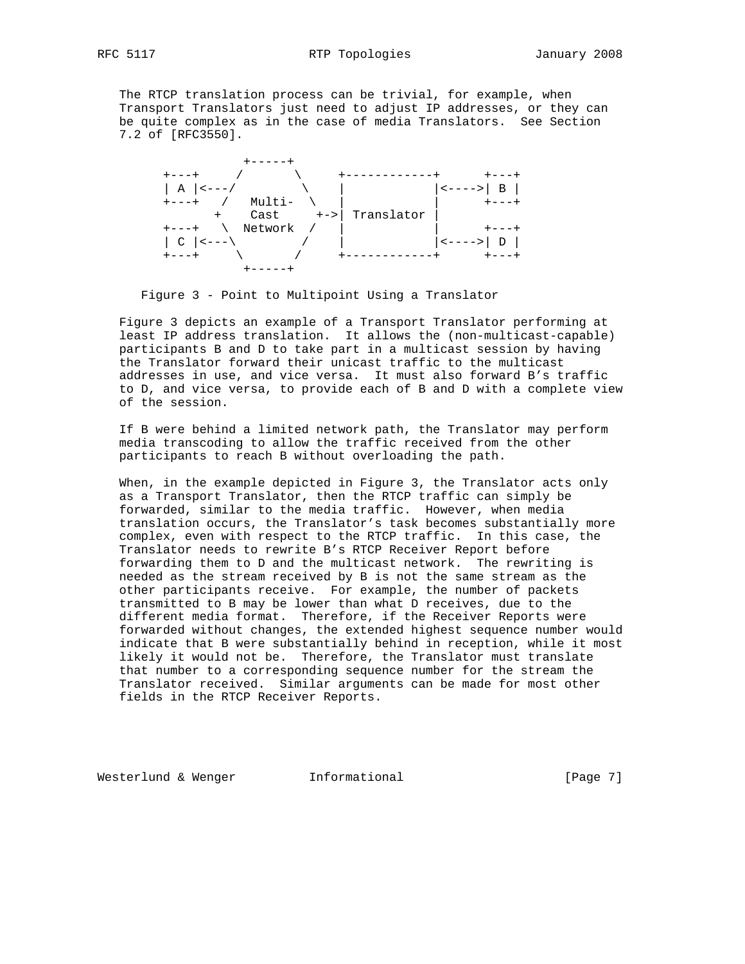The RTCP translation process can be trivial, for example, when Transport Translators just need to adjust IP addresses, or they can be quite complex as in the case of media Translators. See Section 7.2 of [RFC3550].



Figure 3 - Point to Multipoint Using a Translator

 Figure 3 depicts an example of a Transport Translator performing at least IP address translation. It allows the (non-multicast-capable) participants B and D to take part in a multicast session by having the Translator forward their unicast traffic to the multicast addresses in use, and vice versa. It must also forward B's traffic to D, and vice versa, to provide each of B and D with a complete view of the session.

 If B were behind a limited network path, the Translator may perform media transcoding to allow the traffic received from the other participants to reach B without overloading the path.

 When, in the example depicted in Figure 3, the Translator acts only as a Transport Translator, then the RTCP traffic can simply be forwarded, similar to the media traffic. However, when media translation occurs, the Translator's task becomes substantially more complex, even with respect to the RTCP traffic. In this case, the Translator needs to rewrite B's RTCP Receiver Report before forwarding them to D and the multicast network. The rewriting is needed as the stream received by B is not the same stream as the other participants receive. For example, the number of packets transmitted to B may be lower than what D receives, due to the different media format. Therefore, if the Receiver Reports were forwarded without changes, the extended highest sequence number would indicate that B were substantially behind in reception, while it most likely it would not be. Therefore, the Translator must translate that number to a corresponding sequence number for the stream the Translator received. Similar arguments can be made for most other fields in the RTCP Receiver Reports.

Westerlund & Wenger **Informational Informational** [Page 7]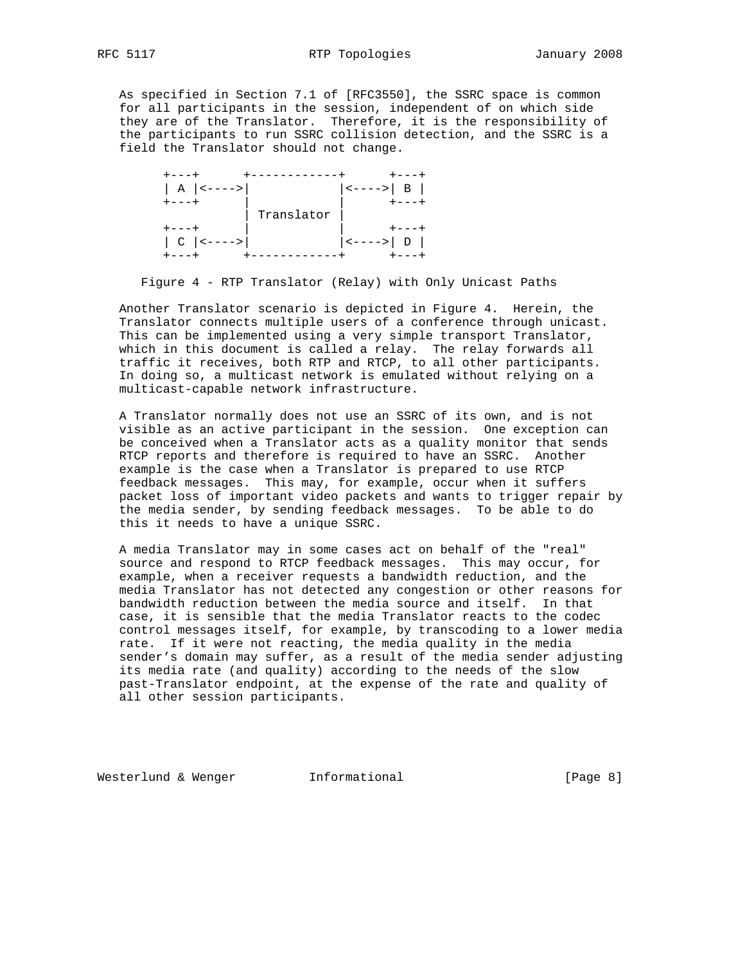As specified in Section 7.1 of [RFC3550], the SSRC space is common for all participants in the session, independent of on which side they are of the Translator. Therefore, it is the responsibility of the participants to run SSRC collision detection, and the SSRC is a field the Translator should not change.



Figure 4 - RTP Translator (Relay) with Only Unicast Paths

 Another Translator scenario is depicted in Figure 4. Herein, the Translator connects multiple users of a conference through unicast. This can be implemented using a very simple transport Translator, which in this document is called a relay. The relay forwards all traffic it receives, both RTP and RTCP, to all other participants. In doing so, a multicast network is emulated without relying on a multicast-capable network infrastructure.

 A Translator normally does not use an SSRC of its own, and is not visible as an active participant in the session. One exception can be conceived when a Translator acts as a quality monitor that sends RTCP reports and therefore is required to have an SSRC. Another example is the case when a Translator is prepared to use RTCP feedback messages. This may, for example, occur when it suffers packet loss of important video packets and wants to trigger repair by the media sender, by sending feedback messages. To be able to do this it needs to have a unique SSRC.

 A media Translator may in some cases act on behalf of the "real" source and respond to RTCP feedback messages. This may occur, for example, when a receiver requests a bandwidth reduction, and the media Translator has not detected any congestion or other reasons for bandwidth reduction between the media source and itself. In that case, it is sensible that the media Translator reacts to the codec control messages itself, for example, by transcoding to a lower media rate. If it were not reacting, the media quality in the media sender's domain may suffer, as a result of the media sender adjusting its media rate (and quality) according to the needs of the slow past-Translator endpoint, at the expense of the rate and quality of all other session participants.

Westerlund & Wenger **Informational Informational** [Page 8]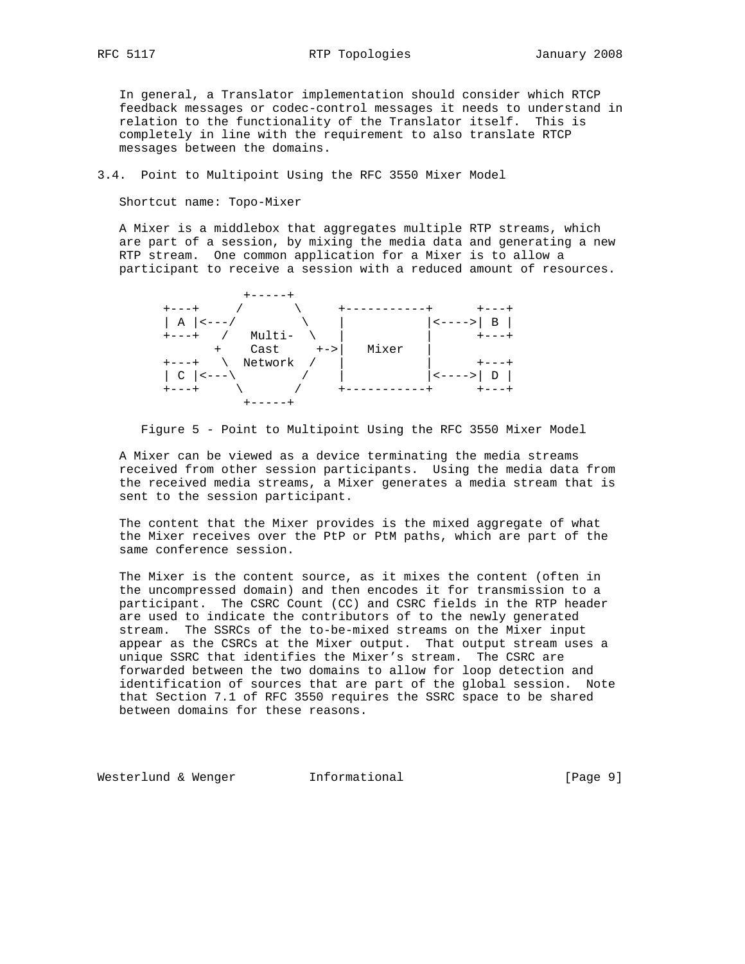In general, a Translator implementation should consider which RTCP feedback messages or codec-control messages it needs to understand in relation to the functionality of the Translator itself. This is completely in line with the requirement to also translate RTCP messages between the domains.

3.4. Point to Multipoint Using the RFC 3550 Mixer Model

Shortcut name: Topo-Mixer

 A Mixer is a middlebox that aggregates multiple RTP streams, which are part of a session, by mixing the media data and generating a new RTP stream. One common application for a Mixer is to allow a participant to receive a session with a reduced amount of resources.

| $  A  $ <---/                             | $ $ < - - - - > $ $<br>$\overline{B}$ |
|-------------------------------------------|---------------------------------------|
| / Multi-<br>$+ - - - +$                   |                                       |
| $\text{Cast}$ $\longrightarrow$<br>$^{+}$ | Mixer                                 |
| Network /<br>$+ - - - +$                  |                                       |
| $\vert$ C $\vert$ <---\                   | $D \mid$                              |
| $+ - - - +$                               | $+ - - - +$<br>-------                |
|                                           |                                       |

Figure 5 - Point to Multipoint Using the RFC 3550 Mixer Model

 A Mixer can be viewed as a device terminating the media streams received from other session participants. Using the media data from the received media streams, a Mixer generates a media stream that is sent to the session participant.

 The content that the Mixer provides is the mixed aggregate of what the Mixer receives over the PtP or PtM paths, which are part of the same conference session.

 The Mixer is the content source, as it mixes the content (often in the uncompressed domain) and then encodes it for transmission to a participant. The CSRC Count (CC) and CSRC fields in the RTP header are used to indicate the contributors of to the newly generated stream. The SSRCs of the to-be-mixed streams on the Mixer input appear as the CSRCs at the Mixer output. That output stream uses a unique SSRC that identifies the Mixer's stream. The CSRC are forwarded between the two domains to allow for loop detection and identification of sources that are part of the global session. Note that Section 7.1 of RFC 3550 requires the SSRC space to be shared between domains for these reasons.

Westerlund & Wenger **Informational Informational** [Page 9]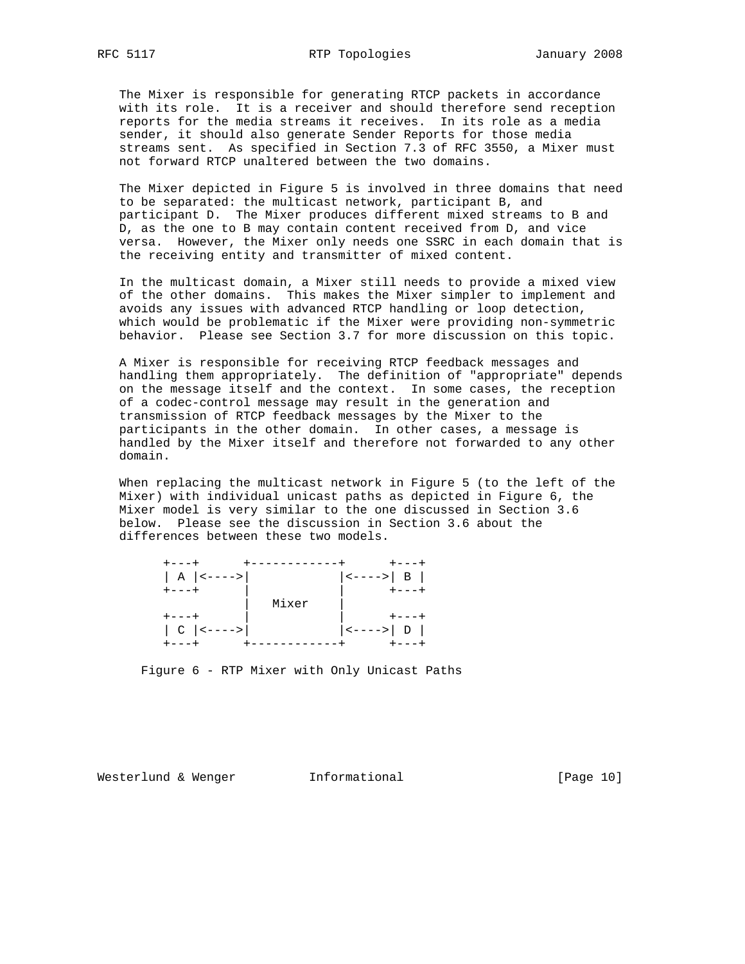The Mixer is responsible for generating RTCP packets in accordance with its role. It is a receiver and should therefore send reception reports for the media streams it receives. In its role as a media sender, it should also generate Sender Reports for those media streams sent. As specified in Section 7.3 of RFC 3550, a Mixer must not forward RTCP unaltered between the two domains.

 The Mixer depicted in Figure 5 is involved in three domains that need to be separated: the multicast network, participant B, and participant D. The Mixer produces different mixed streams to B and D, as the one to B may contain content received from D, and vice versa. However, the Mixer only needs one SSRC in each domain that is the receiving entity and transmitter of mixed content.

 In the multicast domain, a Mixer still needs to provide a mixed view of the other domains. This makes the Mixer simpler to implement and avoids any issues with advanced RTCP handling or loop detection, which would be problematic if the Mixer were providing non-symmetric behavior. Please see Section 3.7 for more discussion on this topic.

 A Mixer is responsible for receiving RTCP feedback messages and handling them appropriately. The definition of "appropriate" depends on the message itself and the context. In some cases, the reception of a codec-control message may result in the generation and transmission of RTCP feedback messages by the Mixer to the participants in the other domain. In other cases, a message is handled by the Mixer itself and therefore not forwarded to any other domain.

 When replacing the multicast network in Figure 5 (to the left of the Mixer) with individual unicast paths as depicted in Figure 6, the Mixer model is very similar to the one discussed in Section 3.6 below. Please see the discussion in Section 3.6 about the differences between these two models.

| $+ - - - +$          |                      |
|----------------------|----------------------|
| $ $ A $ $ <----> $ $ | $ $ <----> $ $ B $ $ |
| $+ - - - +$          | $+ - - - +$          |
|                      | Mixer                |
| $+ - - - +$          |                      |
| $ C $ <---->         | $ $ <----> $ $ D $ $ |
| +---+                | $+ - - - +$          |

Figure 6 - RTP Mixer with Only Unicast Paths

Westerlund & Wenger **Informational** [Page 10]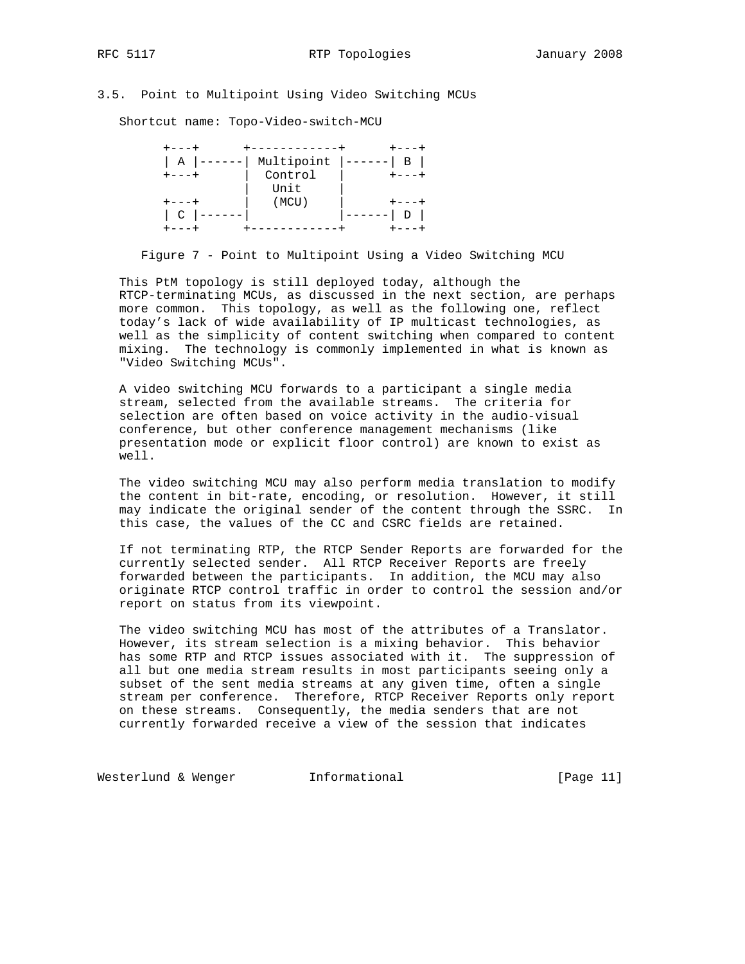# 3.5. Point to Multipoint Using Video Switching MCUs

Shortcut name: Topo-Video-switch-MCU

| ---+          |            |   |
|---------------|------------|---|
| A             | Multipoint | B |
| $--- +$       | Control    |   |
|               | Unit       |   |
|               | (MCU)      |   |
| $\mathcal{C}$ |            |   |
|               |            |   |

Figure 7 - Point to Multipoint Using a Video Switching MCU

 This PtM topology is still deployed today, although the RTCP-terminating MCUs, as discussed in the next section, are perhaps more common. This topology, as well as the following one, reflect today's lack of wide availability of IP multicast technologies, as well as the simplicity of content switching when compared to content mixing. The technology is commonly implemented in what is known as "Video Switching MCUs".

 A video switching MCU forwards to a participant a single media stream, selected from the available streams. The criteria for selection are often based on voice activity in the audio-visual conference, but other conference management mechanisms (like presentation mode or explicit floor control) are known to exist as well.

 The video switching MCU may also perform media translation to modify the content in bit-rate, encoding, or resolution. However, it still may indicate the original sender of the content through the SSRC. In this case, the values of the CC and CSRC fields are retained.

 If not terminating RTP, the RTCP Sender Reports are forwarded for the currently selected sender. All RTCP Receiver Reports are freely forwarded between the participants. In addition, the MCU may also originate RTCP control traffic in order to control the session and/or report on status from its viewpoint.

 The video switching MCU has most of the attributes of a Translator. However, its stream selection is a mixing behavior. This behavior has some RTP and RTCP issues associated with it. The suppression of all but one media stream results in most participants seeing only a subset of the sent media streams at any given time, often a single stream per conference. Therefore, RTCP Receiver Reports only report on these streams. Consequently, the media senders that are not currently forwarded receive a view of the session that indicates

Westerlund & Wenger **Informational Informational** [Page 11]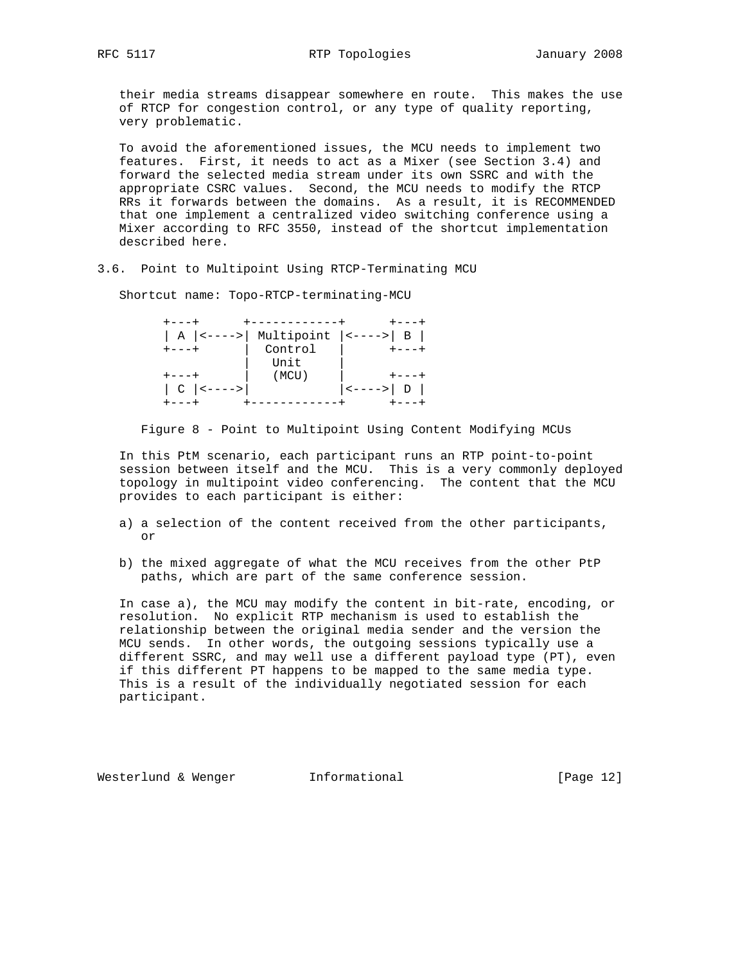their media streams disappear somewhere en route. This makes the use of RTCP for congestion control, or any type of quality reporting, very problematic.

 To avoid the aforementioned issues, the MCU needs to implement two features. First, it needs to act as a Mixer (see Section 3.4) and forward the selected media stream under its own SSRC and with the appropriate CSRC values. Second, the MCU needs to modify the RTCP RRs it forwards between the domains. As a result, it is RECOMMENDED that one implement a centralized video switching conference using a Mixer according to RFC 3550, instead of the shortcut implementation described here.

3.6. Point to Multipoint Using RTCP-Terminating MCU

Shortcut name: Topo-RTCP-terminating-MCU

| + – – – +    | ------------                               |             |
|--------------|--------------------------------------------|-------------|
|              | $  A  $ <---->   Multipoint $ $ <---->   B |             |
| $+ - - - +$  | Control                                    | $+ - - - +$ |
|              | Unit                                       |             |
|              | (MCU)                                      |             |
| $ C $ <----> |                                            | <---->  D   |
|              |                                            |             |

Figure 8 - Point to Multipoint Using Content Modifying MCUs

 In this PtM scenario, each participant runs an RTP point-to-point session between itself and the MCU. This is a very commonly deployed topology in multipoint video conferencing. The content that the MCU provides to each participant is either:

- a) a selection of the content received from the other participants, or
- b) the mixed aggregate of what the MCU receives from the other PtP paths, which are part of the same conference session.

 In case a), the MCU may modify the content in bit-rate, encoding, or resolution. No explicit RTP mechanism is used to establish the relationship between the original media sender and the version the MCU sends. In other words, the outgoing sessions typically use a different SSRC, and may well use a different payload type (PT), even if this different PT happens to be mapped to the same media type. This is a result of the individually negotiated session for each participant.

Westerlund & Wenger **Informational Informational** [Page 12]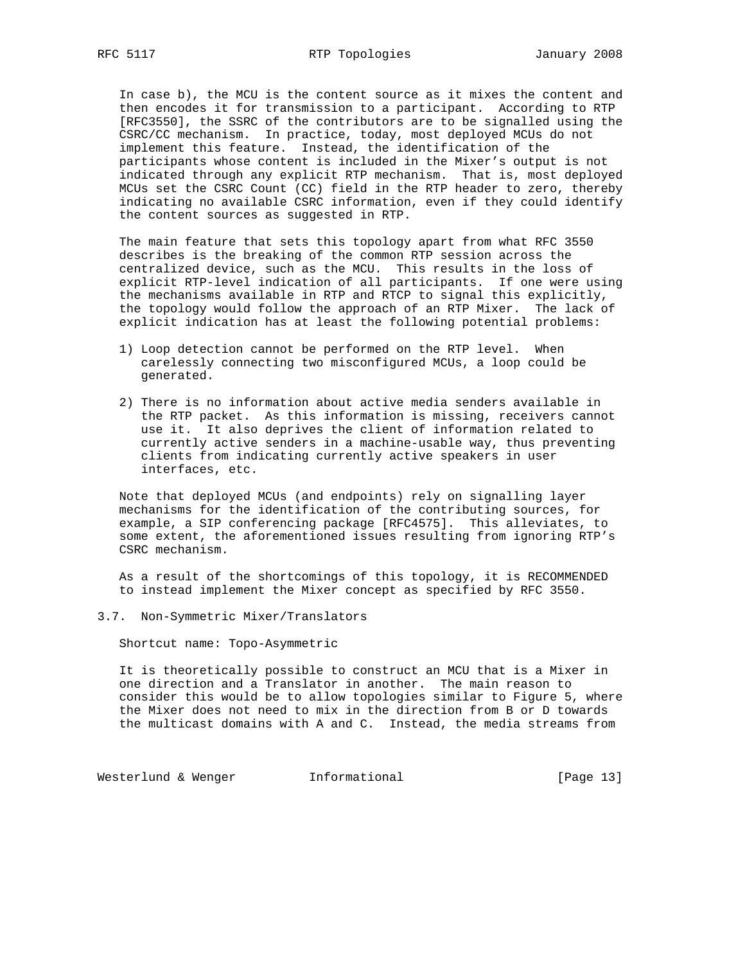In case b), the MCU is the content source as it mixes the content and then encodes it for transmission to a participant. According to RTP [RFC3550], the SSRC of the contributors are to be signalled using the CSRC/CC mechanism. In practice, today, most deployed MCUs do not implement this feature. Instead, the identification of the participants whose content is included in the Mixer's output is not indicated through any explicit RTP mechanism. That is, most deployed MCUs set the CSRC Count (CC) field in the RTP header to zero, thereby indicating no available CSRC information, even if they could identify the content sources as suggested in RTP.

 The main feature that sets this topology apart from what RFC 3550 describes is the breaking of the common RTP session across the centralized device, such as the MCU. This results in the loss of explicit RTP-level indication of all participants. If one were using the mechanisms available in RTP and RTCP to signal this explicitly, the topology would follow the approach of an RTP Mixer. The lack of explicit indication has at least the following potential problems:

- 1) Loop detection cannot be performed on the RTP level. When carelessly connecting two misconfigured MCUs, a loop could be generated.
- 2) There is no information about active media senders available in the RTP packet. As this information is missing, receivers cannot use it. It also deprives the client of information related to currently active senders in a machine-usable way, thus preventing clients from indicating currently active speakers in user interfaces, etc.

 Note that deployed MCUs (and endpoints) rely on signalling layer mechanisms for the identification of the contributing sources, for example, a SIP conferencing package [RFC4575]. This alleviates, to some extent, the aforementioned issues resulting from ignoring RTP's CSRC mechanism.

 As a result of the shortcomings of this topology, it is RECOMMENDED to instead implement the Mixer concept as specified by RFC 3550.

3.7. Non-Symmetric Mixer/Translators

Shortcut name: Topo-Asymmetric

 It is theoretically possible to construct an MCU that is a Mixer in one direction and a Translator in another. The main reason to consider this would be to allow topologies similar to Figure 5, where the Mixer does not need to mix in the direction from B or D towards the multicast domains with A and C. Instead, the media streams from

Westerlund & Wenger **Informational Informational** [Page 13]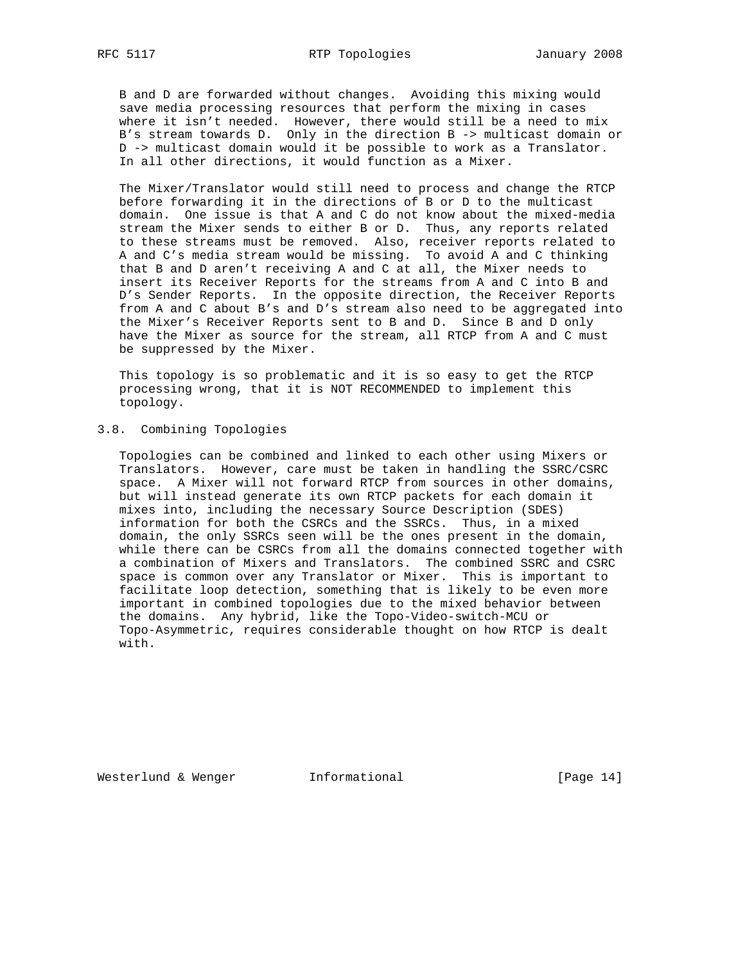B and D are forwarded without changes. Avoiding this mixing would save media processing resources that perform the mixing in cases where it isn't needed. However, there would still be a need to mix B's stream towards D. Only in the direction B -> multicast domain or D -> multicast domain would it be possible to work as a Translator. In all other directions, it would function as a Mixer.

 The Mixer/Translator would still need to process and change the RTCP before forwarding it in the directions of B or D to the multicast domain. One issue is that A and C do not know about the mixed-media stream the Mixer sends to either B or D. Thus, any reports related to these streams must be removed. Also, receiver reports related to A and C's media stream would be missing. To avoid A and C thinking that B and D aren't receiving A and C at all, the Mixer needs to insert its Receiver Reports for the streams from A and C into B and D's Sender Reports. In the opposite direction, the Receiver Reports from A and C about B's and D's stream also need to be aggregated into the Mixer's Receiver Reports sent to B and D. Since B and D only have the Mixer as source for the stream, all RTCP from A and C must be suppressed by the Mixer.

 This topology is so problematic and it is so easy to get the RTCP processing wrong, that it is NOT RECOMMENDED to implement this topology.

# 3.8. Combining Topologies

 Topologies can be combined and linked to each other using Mixers or Translators. However, care must be taken in handling the SSRC/CSRC space. A Mixer will not forward RTCP from sources in other domains, but will instead generate its own RTCP packets for each domain it mixes into, including the necessary Source Description (SDES) information for both the CSRCs and the SSRCs. Thus, in a mixed domain, the only SSRCs seen will be the ones present in the domain, while there can be CSRCs from all the domains connected together with a combination of Mixers and Translators. The combined SSRC and CSRC space is common over any Translator or Mixer. This is important to facilitate loop detection, something that is likely to be even more important in combined topologies due to the mixed behavior between the domains. Any hybrid, like the Topo-Video-switch-MCU or Topo-Asymmetric, requires considerable thought on how RTCP is dealt with.

Westerlund & Wenger **Informational** [Page 14]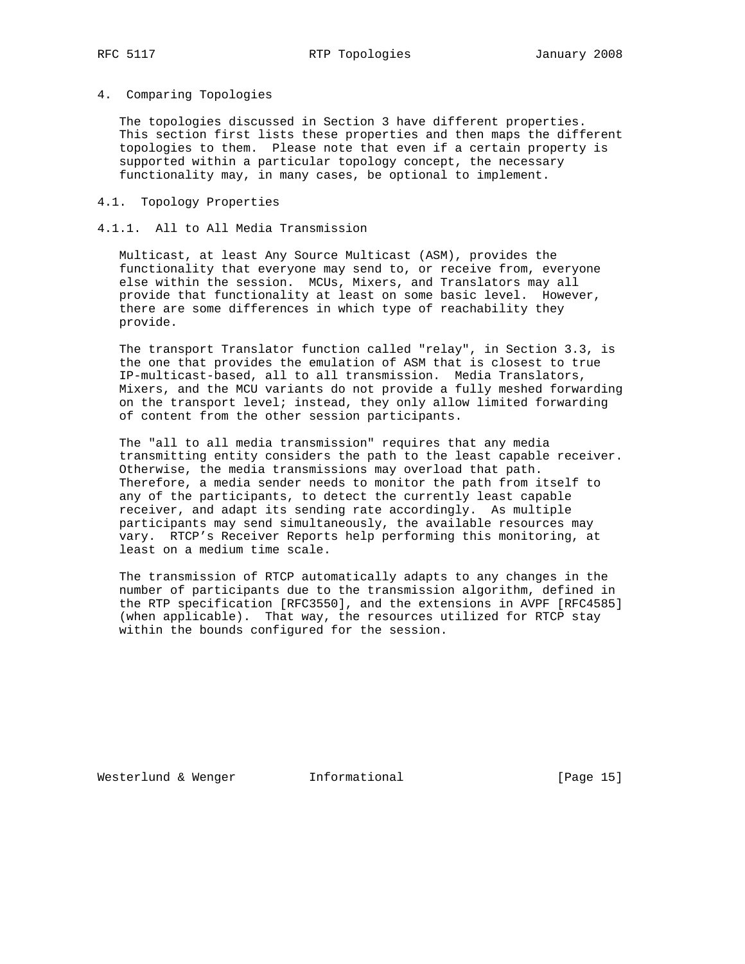## 4. Comparing Topologies

 The topologies discussed in Section 3 have different properties. This section first lists these properties and then maps the different topologies to them. Please note that even if a certain property is supported within a particular topology concept, the necessary functionality may, in many cases, be optional to implement.

#### 4.1. Topology Properties

### 4.1.1. All to All Media Transmission

 Multicast, at least Any Source Multicast (ASM), provides the functionality that everyone may send to, or receive from, everyone else within the session. MCUs, Mixers, and Translators may all provide that functionality at least on some basic level. However, there are some differences in which type of reachability they provide.

 The transport Translator function called "relay", in Section 3.3, is the one that provides the emulation of ASM that is closest to true IP-multicast-based, all to all transmission. Media Translators, Mixers, and the MCU variants do not provide a fully meshed forwarding on the transport level; instead, they only allow limited forwarding of content from the other session participants.

 The "all to all media transmission" requires that any media transmitting entity considers the path to the least capable receiver. Otherwise, the media transmissions may overload that path. Therefore, a media sender needs to monitor the path from itself to any of the participants, to detect the currently least capable receiver, and adapt its sending rate accordingly. As multiple participants may send simultaneously, the available resources may vary. RTCP's Receiver Reports help performing this monitoring, at least on a medium time scale.

 The transmission of RTCP automatically adapts to any changes in the number of participants due to the transmission algorithm, defined in the RTP specification [RFC3550], and the extensions in AVPF [RFC4585] (when applicable). That way, the resources utilized for RTCP stay within the bounds configured for the session.

Westerlund & Wenger **Informational** [Page 15]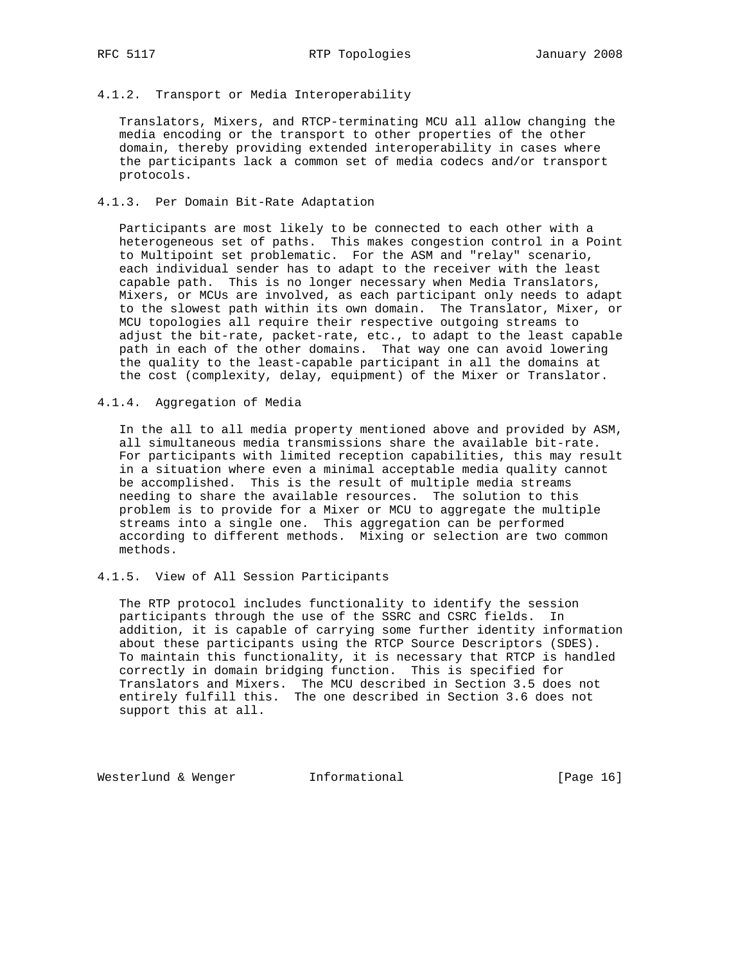## 4.1.2. Transport or Media Interoperability

 Translators, Mixers, and RTCP-terminating MCU all allow changing the media encoding or the transport to other properties of the other domain, thereby providing extended interoperability in cases where the participants lack a common set of media codecs and/or transport protocols.

## 4.1.3. Per Domain Bit-Rate Adaptation

 Participants are most likely to be connected to each other with a heterogeneous set of paths. This makes congestion control in a Point to Multipoint set problematic. For the ASM and "relay" scenario, each individual sender has to adapt to the receiver with the least capable path. This is no longer necessary when Media Translators, Mixers, or MCUs are involved, as each participant only needs to adapt to the slowest path within its own domain. The Translator, Mixer, or MCU topologies all require their respective outgoing streams to adjust the bit-rate, packet-rate, etc., to adapt to the least capable path in each of the other domains. That way one can avoid lowering the quality to the least-capable participant in all the domains at the cost (complexity, delay, equipment) of the Mixer or Translator.

# 4.1.4. Aggregation of Media

 In the all to all media property mentioned above and provided by ASM, all simultaneous media transmissions share the available bit-rate. For participants with limited reception capabilities, this may result in a situation where even a minimal acceptable media quality cannot be accomplished. This is the result of multiple media streams needing to share the available resources. The solution to this problem is to provide for a Mixer or MCU to aggregate the multiple streams into a single one. This aggregation can be performed according to different methods. Mixing or selection are two common methods.

# 4.1.5. View of All Session Participants

 The RTP protocol includes functionality to identify the session participants through the use of the SSRC and CSRC fields. In addition, it is capable of carrying some further identity information about these participants using the RTCP Source Descriptors (SDES). To maintain this functionality, it is necessary that RTCP is handled correctly in domain bridging function. This is specified for Translators and Mixers. The MCU described in Section 3.5 does not entirely fulfill this. The one described in Section 3.6 does not support this at all.

Westerlund & Wenger **Informational** [Page 16]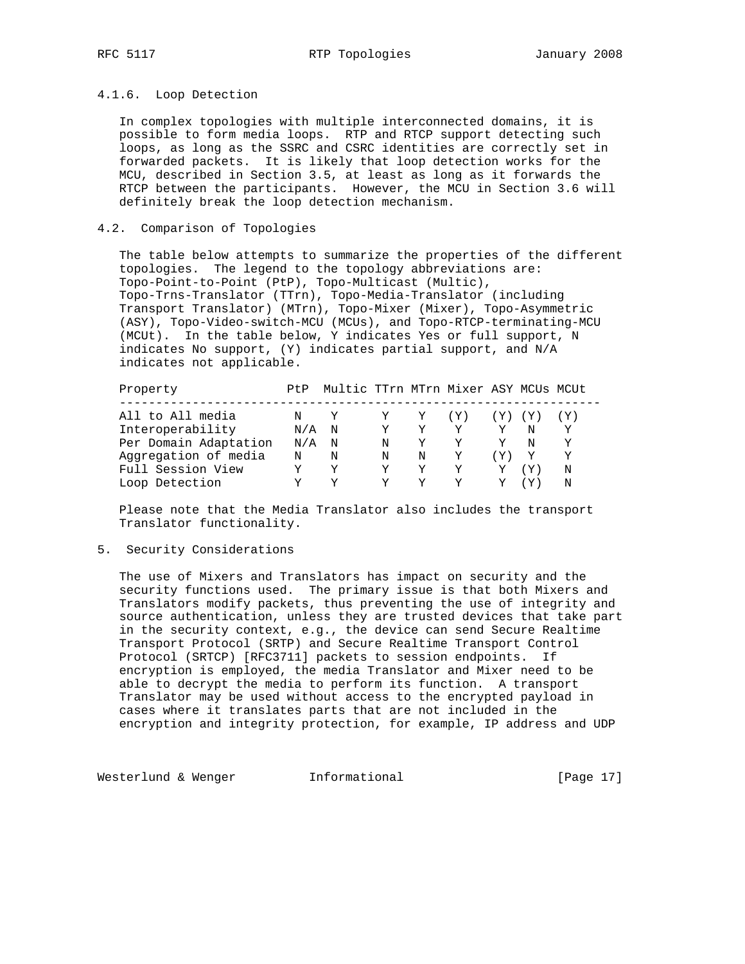#### 4.1.6. Loop Detection

 In complex topologies with multiple interconnected domains, it is possible to form media loops. RTP and RTCP support detecting such loops, as long as the SSRC and CSRC identities are correctly set in forwarded packets. It is likely that loop detection works for the MCU, described in Section 3.5, at least as long as it forwards the RTCP between the participants. However, the MCU in Section 3.6 will definitely break the loop detection mechanism.

## 4.2. Comparison of Topologies

 The table below attempts to summarize the properties of the different topologies. The legend to the topology abbreviations are: Topo-Point-to-Point (PtP), Topo-Multicast (Multic), Topo-Trns-Translator (TTrn), Topo-Media-Translator (including Transport Translator) (MTrn), Topo-Mixer (Mixer), Topo-Asymmetric (ASY), Topo-Video-switch-MCU (MCUs), and Topo-RTCP-terminating-MCU (MCUt). In the table below, Y indicates Yes or full support, N indicates No support, (Y) indicates partial support, and N/A indicates not applicable.

| Property              | Pt.P | Multic TTrn MTrn Mixer ASY MCUs MCUt |   |   |     |         |   |   |  |
|-----------------------|------|--------------------------------------|---|---|-----|---------|---|---|--|
|                       |      |                                      |   |   |     |         |   |   |  |
| All to All media      | N Y  |                                      |   | Y | (Y) | (Y) (Y) |   |   |  |
| Interoperability      | N/A  | N                                    | Y | v | v   | Y       | N | Y |  |
| Per Domain Adaptation | N/A  | N                                    | N |   | v   | Y       | N | v |  |
| Aggregation of media  | N    | N                                    | N | N | Υ   | (Y)     |   | Y |  |
| Full Session View     |      | Y                                    |   | Y | Y   | Y       |   | N |  |
| Loop Detection        |      |                                      |   |   |     |         |   | N |  |

 Please note that the Media Translator also includes the transport Translator functionality.

#### 5. Security Considerations

 The use of Mixers and Translators has impact on security and the security functions used. The primary issue is that both Mixers and Translators modify packets, thus preventing the use of integrity and source authentication, unless they are trusted devices that take part in the security context, e.g., the device can send Secure Realtime Transport Protocol (SRTP) and Secure Realtime Transport Control Protocol (SRTCP) [RFC3711] packets to session endpoints. If encryption is employed, the media Translator and Mixer need to be able to decrypt the media to perform its function. A transport Translator may be used without access to the encrypted payload in cases where it translates parts that are not included in the encryption and integrity protection, for example, IP address and UDP

Westerlund & Wenger **Informational Informational** [Page 17]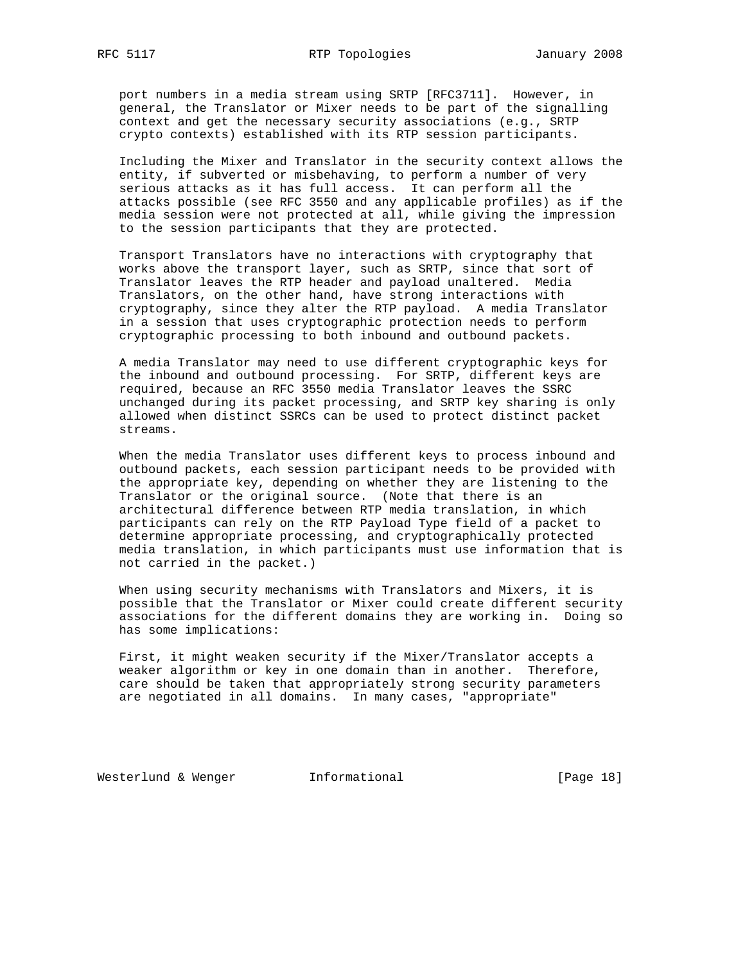port numbers in a media stream using SRTP [RFC3711]. However, in general, the Translator or Mixer needs to be part of the signalling context and get the necessary security associations (e.g., SRTP crypto contexts) established with its RTP session participants.

 Including the Mixer and Translator in the security context allows the entity, if subverted or misbehaving, to perform a number of very serious attacks as it has full access. It can perform all the attacks possible (see RFC 3550 and any applicable profiles) as if the media session were not protected at all, while giving the impression to the session participants that they are protected.

 Transport Translators have no interactions with cryptography that works above the transport layer, such as SRTP, since that sort of Translator leaves the RTP header and payload unaltered. Media Translators, on the other hand, have strong interactions with cryptography, since they alter the RTP payload. A media Translator in a session that uses cryptographic protection needs to perform cryptographic processing to both inbound and outbound packets.

 A media Translator may need to use different cryptographic keys for the inbound and outbound processing. For SRTP, different keys are required, because an RFC 3550 media Translator leaves the SSRC unchanged during its packet processing, and SRTP key sharing is only allowed when distinct SSRCs can be used to protect distinct packet streams.

 When the media Translator uses different keys to process inbound and outbound packets, each session participant needs to be provided with the appropriate key, depending on whether they are listening to the Translator or the original source. (Note that there is an architectural difference between RTP media translation, in which participants can rely on the RTP Payload Type field of a packet to determine appropriate processing, and cryptographically protected media translation, in which participants must use information that is not carried in the packet.)

 When using security mechanisms with Translators and Mixers, it is possible that the Translator or Mixer could create different security associations for the different domains they are working in. Doing so has some implications:

 First, it might weaken security if the Mixer/Translator accepts a weaker algorithm or key in one domain than in another. Therefore, care should be taken that appropriately strong security parameters are negotiated in all domains. In many cases, "appropriate"

Westerlund & Wenger **Informational** [Page 18]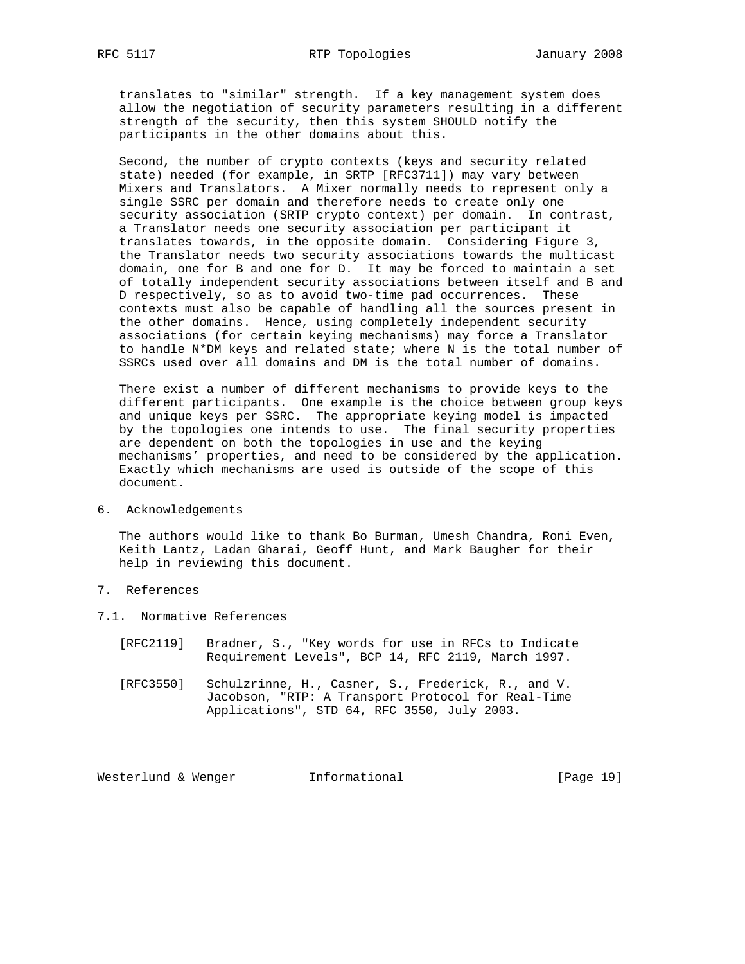translates to "similar" strength. If a key management system does allow the negotiation of security parameters resulting in a different strength of the security, then this system SHOULD notify the participants in the other domains about this.

 Second, the number of crypto contexts (keys and security related state) needed (for example, in SRTP [RFC3711]) may vary between Mixers and Translators. A Mixer normally needs to represent only a single SSRC per domain and therefore needs to create only one security association (SRTP crypto context) per domain. In contrast, a Translator needs one security association per participant it translates towards, in the opposite domain. Considering Figure 3, the Translator needs two security associations towards the multicast domain, one for B and one for D. It may be forced to maintain a set of totally independent security associations between itself and B and D respectively, so as to avoid two-time pad occurrences. These contexts must also be capable of handling all the sources present in the other domains. Hence, using completely independent security associations (for certain keying mechanisms) may force a Translator to handle N\*DM keys and related state; where N is the total number of SSRCs used over all domains and DM is the total number of domains.

 There exist a number of different mechanisms to provide keys to the different participants. One example is the choice between group keys and unique keys per SSRC. The appropriate keying model is impacted by the topologies one intends to use. The final security properties are dependent on both the topologies in use and the keying mechanisms' properties, and need to be considered by the application. Exactly which mechanisms are used is outside of the scope of this document.

#### 6. Acknowledgements

 The authors would like to thank Bo Burman, Umesh Chandra, Roni Even, Keith Lantz, Ladan Gharai, Geoff Hunt, and Mark Baugher for their help in reviewing this document.

# 7. References

- 7.1. Normative References
	- [RFC2119] Bradner, S., "Key words for use in RFCs to Indicate Requirement Levels", BCP 14, RFC 2119, March 1997.
	- [RFC3550] Schulzrinne, H., Casner, S., Frederick, R., and V. Jacobson, "RTP: A Transport Protocol for Real-Time Applications", STD 64, RFC 3550, July 2003.

Westerlund & Wenger **Informational** [Page 19]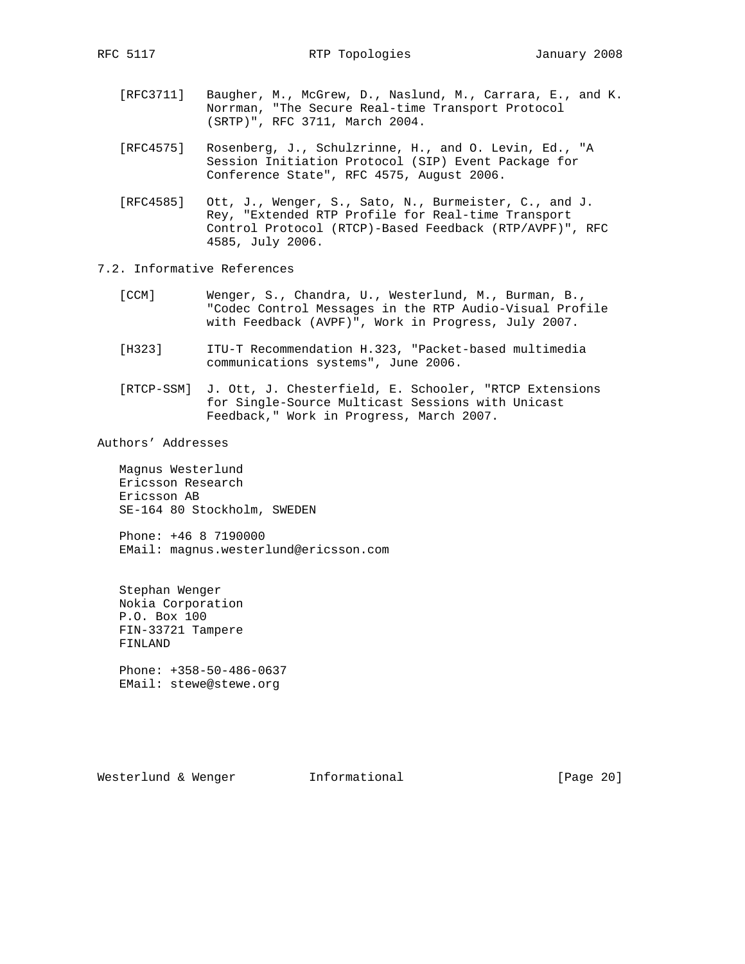- [RFC3711] Baugher, M., McGrew, D., Naslund, M., Carrara, E., and K. Norrman, "The Secure Real-time Transport Protocol (SRTP)", RFC 3711, March 2004.
- [RFC4575] Rosenberg, J., Schulzrinne, H., and O. Levin, Ed., "A Session Initiation Protocol (SIP) Event Package for Conference State", RFC 4575, August 2006.
- [RFC4585] Ott, J., Wenger, S., Sato, N., Burmeister, C., and J. Rey, "Extended RTP Profile for Real-time Transport Control Protocol (RTCP)-Based Feedback (RTP/AVPF)", RFC 4585, July 2006.
- 7.2. Informative References
	- [CCM] Wenger, S., Chandra, U., Westerlund, M., Burman, B., "Codec Control Messages in the RTP Audio-Visual Profile with Feedback (AVPF)", Work in Progress, July 2007.
	- [H323] ITU-T Recommendation H.323, "Packet-based multimedia communications systems", June 2006.
	- [RTCP-SSM] J. Ott, J. Chesterfield, E. Schooler, "RTCP Extensions for Single-Source Multicast Sessions with Unicast Feedback," Work in Progress, March 2007.

Authors' Addresses

 Magnus Westerlund Ericsson Research Ericsson AB SE-164 80 Stockholm, SWEDEN

 Phone: +46 8 7190000 EMail: magnus.westerlund@ericsson.com

 Stephan Wenger Nokia Corporation P.O. Box 100 FIN-33721 Tampere FINLAND

 Phone: +358-50-486-0637 EMail: stewe@stewe.org

Westerlund & Wenger **Informational** [Page 20]